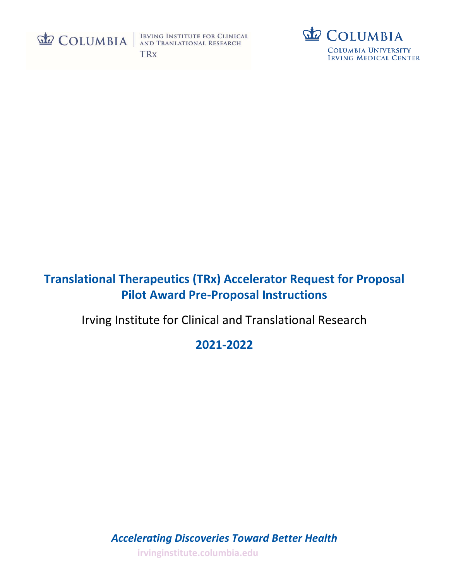

IRVING INSTITUTE FOR CLINICAL<br>AND TRANLATIONAL RESEARCH **TRx** 



# **Translational Therapeutics (TRx) Accelerator Request for Proposal Pilot Award Pre-Proposal Instructions**

Irving Institute for Clinical and Translational Research

**2021-2022**

*Accelerating Discoveries Toward Better Health* **[irvinginstitute.columbia.edu](http://www.irvinginstitute.columbia.edu/)**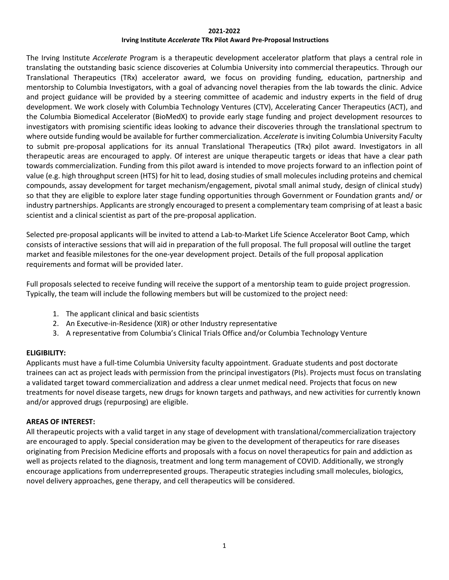#### **2021-2022**

#### **Irving Institute** *Accelerate* **TRx Pilot Award Pre-Proposal Instructions**

The Irving Institute *Accelerate* Program is a therapeutic development accelerator platform that plays a central role in translating the outstanding basic science discoveries at Columbia University into commercial therapeutics. Through our Translational Therapeutics (TRx) accelerator award, we focus on providing funding, education, partnership and mentorship to Columbia Investigators, with a goal of advancing novel therapies from the lab towards the clinic. Advice and project guidance will be provided by a steering committee of academic and industry experts in the field of drug development. We work closely with Columbia Technology Ventures (CTV), Accelerating Cancer Therapeutics (ACT), and the Columbia Biomedical Accelerator (BioMedX) to provide early stage funding and project development resources to investigators with promising scientific ideas looking to advance their discoveries through the translational spectrum to where outside funding would be available for further commercialization. *Accelerate* is inviting Columbia University Faculty to submit pre-proposal applications for its annual Translational Therapeutics (TRx) pilot award. Investigators in all therapeutic areas are encouraged to apply. Of interest are unique therapeutic targets or ideas that have a clear path towards commercialization. Funding from this pilot award is intended to move projects forward to an inflection point of value (e.g. high throughput screen (HTS) for hit to lead, dosing studies of small molecules including proteins and chemical compounds, assay development for target mechanism/engagement, pivotal small animal study, design of clinical study) so that they are eligible to explore later stage funding opportunities through Government or Foundation grants and/ or industry partnerships. Applicants are strongly encouraged to present a complementary team comprising of at least a basic scientist and a clinical scientist as part of the pre-proposal application.

Selected pre-proposal applicants will be invited to attend a Lab-to-Market Life Science Accelerator Boot Camp, which consists of interactive sessions that will aid in preparation of the full proposal. The full proposal will outline the target market and feasible milestones for the one-year development project. Details of the full proposal application requirements and format will be provided later.

Full proposals selected to receive funding will receive the support of a mentorship team to guide project progression. Typically, the team will include the following members but will be customized to the project need:

- 1. The applicant clinical and basic scientists
- 2. An Executive-in-Residence (XIR) or other Industry representative
- 3. A representative from Columbia's Clinical Trials Office and/or Columbia Technology Venture

## **ELIGIBILITY:**

Applicants must have a full-time Columbia University faculty appointment. Graduate students and post doctorate trainees can act as project leads with permission from the principal investigators (PIs). Projects must focus on translating a validated target toward commercialization and address a clear unmet medical need. Projects that focus on new treatments for novel disease targets, new drugs for known targets and pathways, and new activities for currently known and/or approved drugs (repurposing) are eligible.

## **AREAS OF INTEREST:**

All therapeutic projects with a valid target in any stage of development with translational/commercialization trajectory are encouraged to apply. Special consideration may be given to the development of therapeutics for rare diseases originating from Precision Medicine efforts and proposals with a focus on novel therapeutics for pain and addiction as well as projects related to the diagnosis, treatment and long term management of COVID. Additionally, we strongly encourage applications from underrepresented groups. Therapeutic strategies including small molecules, biologics, novel delivery approaches, gene therapy, and cell therapeutics will be considered.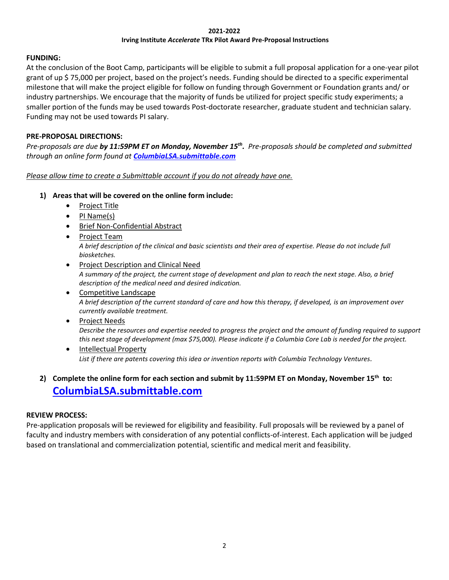#### **2021-2022 Irving Institute** *Accelerate* **TRx Pilot Award Pre-Proposal Instructions**

## **FUNDING:**

At the conclusion of the Boot Camp, participants will be eligible to submit a full proposal application for a one-year pilot grant of up \$ 75,000 per project, based on the project's needs. Funding should be directed to a specific experimental milestone that will make the project eligible for follow on funding through Government or Foundation grants and/ or industry partnerships. We encourage that the majority of funds be utilized for project specific study experiments; a smaller portion of the funds may be used towards Post-doctorate researcher, graduate student and technician salary. Funding may not be used towards PI salary.

#### **PRE-PROPOSAL DIRECTIONS:**

*Pre-proposals are due by 11:59PM ET on Monday, November 15th . Pre-proposals should be completed and submitted through an online form found at [ColumbiaLSA.submittable.com](https://columbialsa.submittable.com/submit)*

*Please allow time to create a Submittable account if you do not already have one.*

- **1) Areas that will be covered on the online form include:**
	- Project Title
	- PI Name(s)
	- Brief Non-Confidential Abstract
	- Project Team *A brief description of the clinical and basic scientists and their area of expertise. Please do not include full biosketches.*
	- Project Description and Clinical Need *A summary of the project, the current stage of development and plan to reach the next stage. Also, a brief description of the medical need and desired indication.*
	- Competitive Landscape *A brief description of the current standard of care and how this therapy, if developed, is an improvement over currently available treatment.*
	- Project Needs *Describe the resources and expertise needed to progress the project and the amount of funding required to support this next stage of development (max \$75,000). Please indicate if a Columbia Core Lab is needed for the project.*
	- Intellectual Property *List if there are patents covering this idea or invention reports with Columbia Technology Ventures.*

## **2) Complete the online form for each section and submit by 11:59PM ET on Monday, November 15th to: [ColumbiaLSA.submittable.com](https://columbialsa.submittable.com/submit)**

## **REVIEW PROCESS:**

Pre-application proposals will be reviewed for eligibility and feasibility. Full proposals will be reviewed by a panel of faculty and industry members with consideration of any potential conflicts-of-interest. Each application will be judged based on translational and commercialization potential, scientific and medical merit and feasibility.